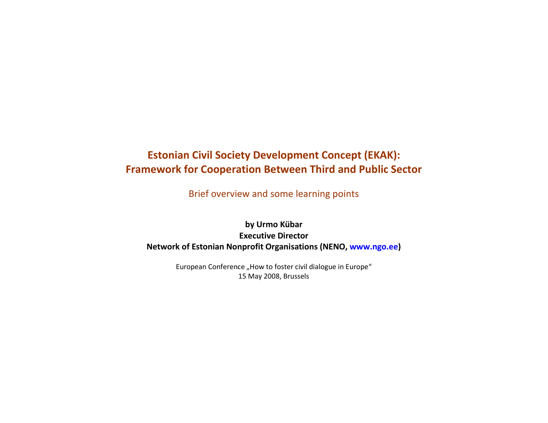# Estonian Civil Society Development Concept (EKAK): Framework for Cooperation Between Third and Public Sector

Brief overview and some learning points

by Urmo Kübar Executive Director Network of Estonian Nonprofit Organisations (NENO, www.ngo.ee)

> European Conference "How to foster civil dialogue in Europe" 15 May 2008, Brussels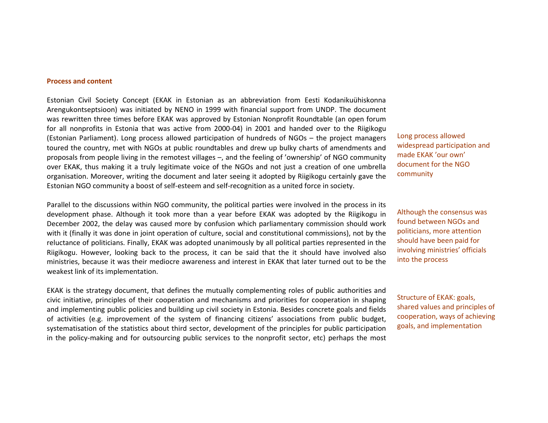#### Process and content

Estonian Civil Society Concept (EKAK in Estonian as an abbreviation from Eesti Kodanikuühiskonna Arengukontseptsioon) was initiated by NENO in 1999 with financial support from UNDP. The document was rewritten three times before EKAK was approved by Estonian Nonprofit Roundtable (an open forum for all nonprofits in Estonia that was active from 2000-04) in 2001 and handed over to the Riigikogu (Estonian Parliament). Long process allowed participation of hundreds of NGOs – the project managers toured the country, met with NGOs at public roundtables and drew up bulky charts of amendments and proposals from people living in the remotest villages –, and the feeling of 'ownership' of NGO community over EKAK, thus making it a truly legitimate voice of the NGOs and not just a creation of one umbrella organisation. Moreover, writing the document and later seeing it adopted by Riigikogu certainly gave the Estonian NGO community a boost of self-esteem and self-recognition as a united force in society.

Parallel to the discussions within NGO community, the political parties were involved in the process in its development phase. Although it took more than a year before EKAK was adopted by the Riigikogu in December 2002, the delay was caused more by confusion which parliamentary commission should work with it (finally it was done in joint operation of culture, social and constitutional commissions), not by the reluctance of politicians. Finally, EKAK was adopted unanimously by all political parties represented in the Riigikogu. However, looking back to the process, it can be said that the it should have involved also ministries, because it was their mediocre awareness and interest in EKAK that later turned out to be the weakest link of its implementation.

EKAK is the strategy document, that defines the mutually complementing roles of public authorities and civic initiative, principles of their cooperation and mechanisms and priorities for cooperation in shaping and implementing public policies and building up civil society in Estonia. Besides concrete goals and fields of activities (e.g. improvement of the system of financing citizens' associations from public budget, systematisation of the statistics about third sector, development of the principles for public participation in the policy-making and for outsourcing public services to the nonprofit sector, etc) perhaps the most Long process allowed widespread participation and made EKAK 'our own' document for the NGO community

Although the consensus was found between NGOs and politicians, more attention should have been paid for involving ministries' officials into the process

Structure of EKAK: goals, shared values and principles of cooperation, ways of achieving goals, and implementation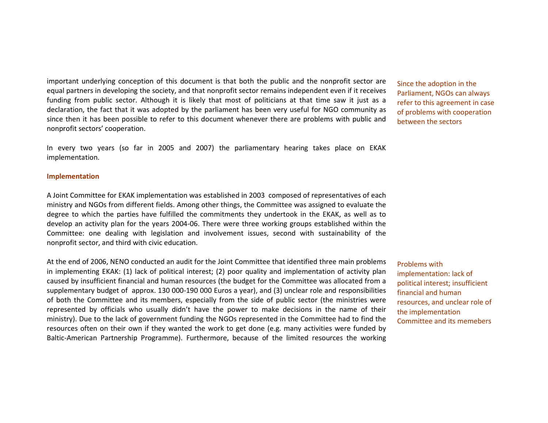important underlying conception of this document is that both the public and the nonprofit sector are equal partners in developing the society, and that nonprofit sector remains independent even if it receives funding from public sector. Although it is likely that most of politicians at that time saw it just as a declaration, the fact that it was adopted by the parliament has been very useful for NGO community as since then it has been possible to refer to this document whenever there are problems with public and nonprofit sectors' cooperation.

In every two years (so far in 2005 and 2007) the parliamentary hearing takes place on EKAK implementation.

#### Implementation

A Joint Committee for EKAK implementation was established in 2003 composed of representatives of each ministry and NGOs from different fields. Among other things, the Committee was assigned to evaluate the degree to which the parties have fulfilled the commitments they undertook in the EKAK, as well as to develop an activity plan for the years 2004-06. There were three working groups established within the Committee: one dealing with legislation and involvement issues, second with sustainability of the nonprofit sector, and third with civic education.

At the end of 2006, NENO conducted an audit for the Joint Committee that identified three main problems in implementing EKAK: (1) lack of political interest; (2) poor quality and implementation of activity plan caused by insufficient financial and human resources (the budget for the Committee was allocated from a supplementary budget of approx. 130 000-190 000 Euros a year), and (3) unclear role and responsibilities of both the Committee and its members, especially from the side of public sector (the ministries were represented by officials who usually didn't have the power to make decisions in the name of their ministry). Due to the lack of government funding the NGOs represented in the Committee had to find the resources often on their own if they wanted the work to get done (e.g. many activities were funded by Baltic-American Partnership Programme). Furthermore, because of the limited resources the working

refer to this agreement in case Since the adoption in the Parliament, NGOs can always of problems with cooperation between the sectors

Problems with implementation: lack of political interest; insufficient financial and human resources, and unclear role of the implementation Committee and its memebers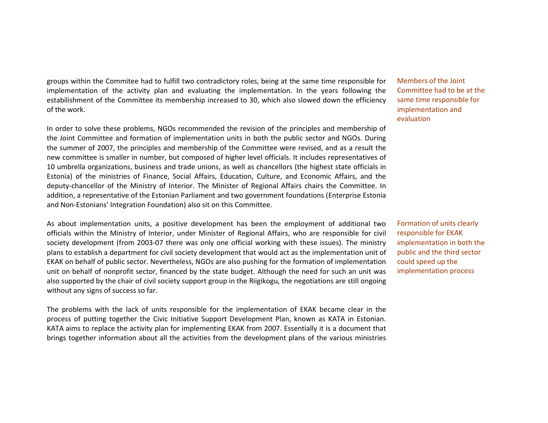groups within the Commitee had to fulfill two contradictory roles, being at the same time responsible for implementation of the activity plan and evaluating the implementation. In the years following the estabilishment of the Committee its membership increased to 30, which also slowed down the efficiency of the work.

In order to solve these problems, NGOs recommended the revision of the principles and membership of the Joint Committee and formation of implementation units in both the public sector and NGOs. During the summer of 2007, the principles and membership of the Committee were revised, and as a result the new committee is smaller in number, but composed of higher level officials. It includes representatives of 10 umbrella organizations, business and trade unions, as well as chancellors (the highest state officials in Estonia) of the ministries of Finance, Social Affairs, Education, Culture, and Economic Affairs, and the deputy-chancellor of the Ministry of Interior. The Minister of Regional Affairs chairs the Committee. In addition, a representative of the Estonian Parliament and two government foundations (Enterprise Estonia and Non-Estonians' Integration Foundation) also sit on this Committee.

As about implementation units, a positive development has been the employment of additional two officials within the Ministry of Interior, under Minister of Regional Affairs, who are responsible for civil society development (from 2003-07 there was only one official working with these issues). The ministry plans to establish a department for civil society development that would act as the implementation unit of EKAK on behalf of public sector. Nevertheless, NGOs are also pushing for the formation of implementation unit on behalf of nonprofit sector, financed by the state budget. Although the need for such an unit was also supported by the chair of civil society support group in the Riigikogu, the negotiations are still ongoing without any signs of success so far.

The problems with the lack of units responsible for the implementation of EKAK became clear in the process of putting together the Civic Initiative Support Development Plan, known as KATA in Estonian. KATA aims to replace the activity plan for implementing EKAK from 2007. Essentially it is a document that brings together information about all the activities from the development plans of the various ministries

Members of the Joint Committee had to be at the same time responsible for implementation and evaluation

Formation of units clearly responsible for EKAK implementation in both the public and the third sector could speed up the implementation process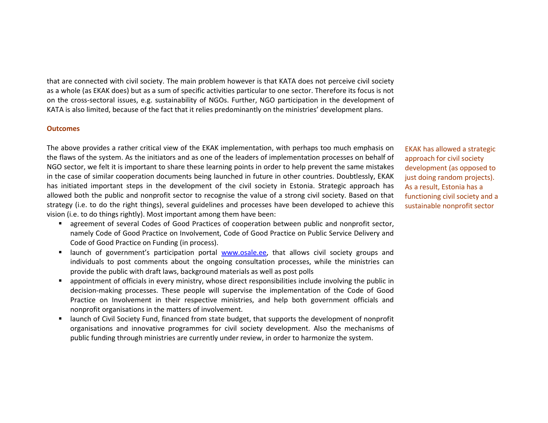that are connected with civil society. The main problem however is that KATA does not perceive civil society as a whole (as EKAK does) but as a sum of specific activities particular to one sector. Therefore its focus is not on the cross-sectoral issues, e.g. sustainability of NGOs. Further, NGO participation in the development of KATA is also limited, because of the fact that it relies predominantly on the ministries' development plans.

#### **Outcomes**

The above provides a rather critical view of the EKAK implementation, with perhaps too much emphasis on the flaws of the system. As the initiators and as one of the leaders of implementation processes on behalf of NGO sector, we felt it is important to share these learning points in order to help prevent the same mistakes in the case of similar cooperation documents being launched in future in other countries. Doubtlessly, EKAK has initiated important steps in the development of the civil society in Estonia. Strategic approach has allowed both the public and nonprofit sector to recognise the value of a strong civil society. Based on that strategy (i.e. to do the right things), several guidelines and processes have been developed to achieve this vision (i.e. to do things rightly). Most important among them have been:

- $\mathbf{u}$  agreement of several Codes of Good Practices of cooperation between public and nonprofit sector, namely Code of Good Practice on Involvement, Code of Good Practice on Public Service Delivery and Code of Good Practice on Funding (in process).
- $\blacksquare$  . launch of government's participation portal www.osale.ee, that allows civil society groups and individuals to post comments about the ongoing consultation processes, while the ministries can provide the public with draft laws, background materials as well as post polls
- ٠ appointment of officials in every ministry, whose direct responsibilities include involving the public in decision-making processes. These people will supervise the implementation of the Code of Good Practice on Involvement in their respective ministries, and help both government officials and nonprofit organisations in the matters of involvement.
- $\mathbf{u}$  launch of Civil Society Fund, financed from state budget, that supports the development of nonprofit organisations and innovative programmes for civil society development. Also the mechanisms of public funding through ministries are currently under review, in order to harmonize the system.

EKAK has allowed a strategic approach for civil society development (as opposed to just doing random projects). As a result, Estonia has a functioning civil society and a sustainable nonprofit sector